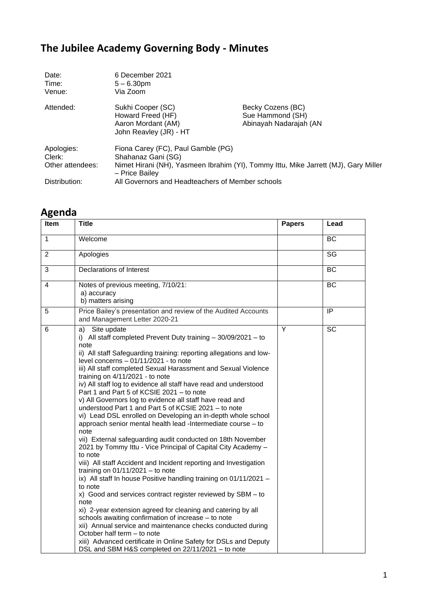## **The Jubilee Academy Governing Body - Minutes**

| Date:<br>Time:<br>Venue:                 | 6 December 2021<br>$5 - 6.30$ pm<br>Via Zoom                                           |                                                                                     |
|------------------------------------------|----------------------------------------------------------------------------------------|-------------------------------------------------------------------------------------|
| Attended:                                | Sukhi Cooper (SC)<br>Howard Freed (HF)<br>Aaron Mordant (AM)<br>John Reavley (JR) - HT | Becky Cozens (BC)<br>Sue Hammond (SH)<br>Abinayah Nadarajah (AN                     |
| Apologies:<br>Clerk:<br>Other attendees: | Fiona Carey (FC), Paul Gamble (PG)<br>Shahanaz Gani (SG)<br>- Price Bailey             | Nimet Hirani (NH), Yasmeen Ibrahim (YI), Tommy Ittu, Mike Jarrett (MJ), Gary Miller |
| Distribution:                            | All Governors and Headteachers of Member schools                                       |                                                                                     |

## **Agenda**

| Item | <b>Title</b>                                                                                                                                                                                                                                                                                                                                                                                                                                                                                                                                                                                                                                                                                                                                                                                                                                                                                                                                                                                                                                                                                                                                                                                                                                                                                                                                                                                                                                           | <b>Papers</b> | Lead           |
|------|--------------------------------------------------------------------------------------------------------------------------------------------------------------------------------------------------------------------------------------------------------------------------------------------------------------------------------------------------------------------------------------------------------------------------------------------------------------------------------------------------------------------------------------------------------------------------------------------------------------------------------------------------------------------------------------------------------------------------------------------------------------------------------------------------------------------------------------------------------------------------------------------------------------------------------------------------------------------------------------------------------------------------------------------------------------------------------------------------------------------------------------------------------------------------------------------------------------------------------------------------------------------------------------------------------------------------------------------------------------------------------------------------------------------------------------------------------|---------------|----------------|
| 1    | Welcome                                                                                                                                                                                                                                                                                                                                                                                                                                                                                                                                                                                                                                                                                                                                                                                                                                                                                                                                                                                                                                                                                                                                                                                                                                                                                                                                                                                                                                                |               | <b>BC</b>      |
| 2    | Apologies                                                                                                                                                                                                                                                                                                                                                                                                                                                                                                                                                                                                                                                                                                                                                                                                                                                                                                                                                                                                                                                                                                                                                                                                                                                                                                                                                                                                                                              |               | SG             |
| 3    | Declarations of Interest                                                                                                                                                                                                                                                                                                                                                                                                                                                                                                                                                                                                                                                                                                                                                                                                                                                                                                                                                                                                                                                                                                                                                                                                                                                                                                                                                                                                                               |               | <b>BC</b>      |
| 4    | Notes of previous meeting, 7/10/21:<br>a) accuracy<br>b) matters arising                                                                                                                                                                                                                                                                                                                                                                                                                                                                                                                                                                                                                                                                                                                                                                                                                                                                                                                                                                                                                                                                                                                                                                                                                                                                                                                                                                               |               | BC             |
| 5    | Price Bailey's presentation and review of the Audited Accounts<br>and Management Letter 2020-21                                                                                                                                                                                                                                                                                                                                                                                                                                                                                                                                                                                                                                                                                                                                                                                                                                                                                                                                                                                                                                                                                                                                                                                                                                                                                                                                                        |               | $\overline{P}$ |
| 6    | a) Site update<br>i) All staff completed Prevent Duty training $-30/09/2021 -$ to<br>note<br>ii) All staff Safeguarding training: reporting allegations and low-<br>level concerns $-01/11/2021$ - to note<br>iii) All staff completed Sexual Harassment and Sexual Violence<br>training on 4/11/2021 - to note<br>iv) All staff log to evidence all staff have read and understood<br>Part 1 and Part 5 of KCSIE 2021 - to note<br>v) All Governors log to evidence all staff have read and<br>understood Part 1 and Part 5 of KCSIE 2021 - to note<br>vi) Lead DSL enrolled on Developing an in-depth whole school<br>approach senior mental health lead -Intermediate course - to<br>note<br>vii) External safeguarding audit conducted on 18th November<br>2021 by Tommy Ittu - Vice Principal of Capital City Academy -<br>to note<br>viii) All staff Accident and Incident reporting and Investigation<br>training on $01/11/2021 -$ to note<br>ix) All staff In house Positive handling training on 01/11/2021 -<br>to note<br>x) Good and services contract register reviewed by SBM - to<br>note<br>xi) 2-year extension agreed for cleaning and catering by all<br>schools awaiting confirmation of increase - to note<br>xii) Annual service and maintenance checks conducted during<br>October half term - to note<br>xiii) Advanced certificate in Online Safety for DSLs and Deputy<br>DSL and SBM H&S completed on 22/11/2021 - to note | Y             | <b>SC</b>      |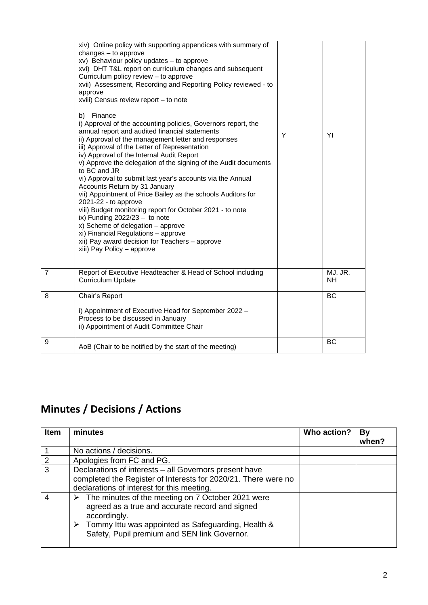|                | xiv) Online policy with supporting appendices with summary of<br>changes $-$ to approve<br>xv) Behaviour policy updates - to approve<br>xvi) DHT T&L report on curriculum changes and subsequent<br>Curriculum policy review - to approve<br>xvii) Assessment, Recording and Reporting Policy reviewed - to<br>approve<br>xviii) Census review report - to note<br>Finance<br>b)<br>i) Approval of the accounting policies, Governors report, the<br>annual report and audited financial statements<br>ii) Approval of the management letter and responses<br>iii) Approval of the Letter of Representation<br>iv) Approval of the Internal Audit Report<br>v) Approve the delegation of the signing of the Audit documents<br>to BC and JR<br>vi) Approval to submit last year's accounts via the Annual<br>Accounts Return by 31 January<br>vii) Appointment of Price Bailey as the schools Auditors for<br>$2021 - 22 -$ to approve<br>viii) Budget monitoring report for October 2021 - to note<br>ix) Funding $2022/23 -$ to note<br>x) Scheme of delegation - approve<br>xi) Financial Regulations - approve<br>xii) Pay award decision for Teachers - approve<br>xiii) Pay Policy - approve | Υ | YI                   |
|----------------|----------------------------------------------------------------------------------------------------------------------------------------------------------------------------------------------------------------------------------------------------------------------------------------------------------------------------------------------------------------------------------------------------------------------------------------------------------------------------------------------------------------------------------------------------------------------------------------------------------------------------------------------------------------------------------------------------------------------------------------------------------------------------------------------------------------------------------------------------------------------------------------------------------------------------------------------------------------------------------------------------------------------------------------------------------------------------------------------------------------------------------------------------------------------------------------------------|---|----------------------|
| $\overline{7}$ | Report of Executive Headteacher & Head of School including<br><b>Curriculum Update</b>                                                                                                                                                                                                                                                                                                                                                                                                                                                                                                                                                                                                                                                                                                                                                                                                                                                                                                                                                                                                                                                                                                             |   | MJ, JR,<br><b>NH</b> |
| 8              | Chair's Report                                                                                                                                                                                                                                                                                                                                                                                                                                                                                                                                                                                                                                                                                                                                                                                                                                                                                                                                                                                                                                                                                                                                                                                     |   | BC                   |
|                | i) Appointment of Executive Head for September 2022 -<br>Process to be discussed in January<br>ii) Appointment of Audit Committee Chair                                                                                                                                                                                                                                                                                                                                                                                                                                                                                                                                                                                                                                                                                                                                                                                                                                                                                                                                                                                                                                                            |   |                      |
| 9              | AoB (Chair to be notified by the start of the meeting)                                                                                                                                                                                                                                                                                                                                                                                                                                                                                                                                                                                                                                                                                                                                                                                                                                                                                                                                                                                                                                                                                                                                             |   | BC                   |

## **Minutes / Decisions / Actions**

| <b>Item</b>   | minutes                                                                                                                                                                                                                                                      | Who action? | By<br>when? |
|---------------|--------------------------------------------------------------------------------------------------------------------------------------------------------------------------------------------------------------------------------------------------------------|-------------|-------------|
|               | No actions / decisions.                                                                                                                                                                                                                                      |             |             |
| $\mathcal{P}$ | Apologies from FC and PG.                                                                                                                                                                                                                                    |             |             |
| 3             | Declarations of interests - all Governors present have<br>completed the Register of Interests for 2020/21. There were no<br>declarations of interest for this meeting.                                                                                       |             |             |
|               | $\triangleright$ The minutes of the meeting on 7 October 2021 were<br>agreed as a true and accurate record and signed<br>accordingly.<br>$\triangleright$ Tommy Ittu was appointed as Safeguarding, Health &<br>Safety, Pupil premium and SEN link Governor. |             |             |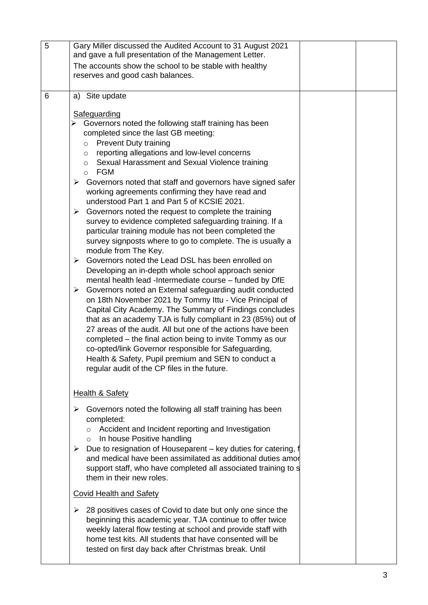| 5 | Gary Miller discussed the Audited Account to 31 August 2021<br>and gave a full presentation of the Management Letter.                           |
|---|-------------------------------------------------------------------------------------------------------------------------------------------------|
|   | The accounts show the school to be stable with healthy                                                                                          |
|   | reserves and good cash balances.                                                                                                                |
|   |                                                                                                                                                 |
| 6 | a) Site update                                                                                                                                  |
|   | Safeguarding                                                                                                                                    |
|   | Governors noted the following staff training has been                                                                                           |
|   | completed since the last GB meeting:                                                                                                            |
|   | <b>Prevent Duty training</b><br>$\circ$                                                                                                         |
|   | reporting allegations and low-level concerns<br>$\circ$                                                                                         |
|   | Sexual Harassment and Sexual Violence training<br>$\circ$<br>o FGM                                                                              |
|   | $\triangleright$ Governors noted that staff and governors have signed safer                                                                     |
|   | working agreements confirming they have read and                                                                                                |
|   | understood Part 1 and Part 5 of KCSIE 2021.                                                                                                     |
|   | $\triangleright$ Governors noted the request to complete the training                                                                           |
|   | survey to evidence completed safeguarding training. If a                                                                                        |
|   | particular training module has not been completed the                                                                                           |
|   | survey signposts where to go to complete. The is usually a<br>module from The Key.                                                              |
|   | Governors noted the Lead DSL has been enrolled on<br>➤                                                                                          |
|   | Developing an in-depth whole school approach senior                                                                                             |
|   | mental health lead -Intermediate course - funded by DfE                                                                                         |
|   | $\triangleright$ Governors noted an External safeguarding audit conducted                                                                       |
|   | on 18th November 2021 by Tommy Ittu - Vice Principal of                                                                                         |
|   | Capital City Academy. The Summary of Findings concludes<br>that as an academy TJA is fully compliant in 23 (85%) out of                         |
|   | 27 areas of the audit. All but one of the actions have been                                                                                     |
|   | completed - the final action being to invite Tommy as our                                                                                       |
|   | co-opted/link Governor responsible for Safeguarding,                                                                                            |
|   | Health & Safety, Pupil premium and SEN to conduct a                                                                                             |
|   | regular audit of the CP files in the future.                                                                                                    |
|   |                                                                                                                                                 |
|   | <b>Health &amp; Safety</b>                                                                                                                      |
|   | Governors noted the following all staff training has been<br>➤                                                                                  |
|   | completed:                                                                                                                                      |
|   | Accident and Incident reporting and Investigation<br>$\circ$                                                                                    |
|   | In house Positive handling<br>$\circ$                                                                                                           |
|   | $\triangleright$ Due to resignation of Houseparent – key duties for catering, f<br>and medical have been assimilated as additional duties amore |
|   | support staff, who have completed all associated training to s                                                                                  |
|   | them in their new roles.                                                                                                                        |
|   | <b>Covid Health and Safety</b>                                                                                                                  |
|   | 28 positives cases of Covid to date but only one since the<br>➤                                                                                 |
|   | beginning this academic year. TJA continue to offer twice                                                                                       |
|   | weekly lateral flow testing at school and provide staff with                                                                                    |
|   | home test kits. All students that have consented will be                                                                                        |
|   | tested on first day back after Christmas break. Until                                                                                           |
|   |                                                                                                                                                 |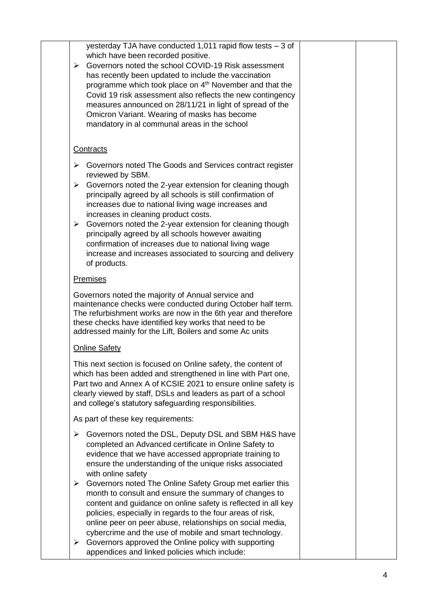| which have been recorded positive.<br>Governors noted the school COVID-19 Risk assessment<br>$\blacktriangleright$<br>has recently been updated to include the vaccination<br>programme which took place on 4 <sup>th</sup> November and that the<br>measures announced on 28/11/21 in light of spread of the<br>Omicron Variant. Wearing of masks has become<br>mandatory in al communal areas in the school                                                                                                                                                                                                                                      |                                                                                                                                                                                                                                                                                                                                                                                                              |                                                                                                                    |
|----------------------------------------------------------------------------------------------------------------------------------------------------------------------------------------------------------------------------------------------------------------------------------------------------------------------------------------------------------------------------------------------------------------------------------------------------------------------------------------------------------------------------------------------------------------------------------------------------------------------------------------------------|--------------------------------------------------------------------------------------------------------------------------------------------------------------------------------------------------------------------------------------------------------------------------------------------------------------------------------------------------------------------------------------------------------------|--------------------------------------------------------------------------------------------------------------------|
| <b>Contracts</b>                                                                                                                                                                                                                                                                                                                                                                                                                                                                                                                                                                                                                                   |                                                                                                                                                                                                                                                                                                                                                                                                              |                                                                                                                    |
| Governors noted The Goods and Services contract register<br>➤<br>reviewed by SBM.<br>Governors noted the 2-year extension for cleaning though<br>≻<br>principally agreed by all schools is still confirmation of<br>increases due to national living wage increases and<br>increases in cleaning product costs.<br>$\triangleright$ Governors noted the 2-year extension for cleaning though<br>principally agreed by all schools however awaiting<br>confirmation of increases due to national living wage<br>increase and increases associated to sourcing and delivery<br>of products.                                                          |                                                                                                                                                                                                                                                                                                                                                                                                              |                                                                                                                    |
| <b>Premises</b>                                                                                                                                                                                                                                                                                                                                                                                                                                                                                                                                                                                                                                    |                                                                                                                                                                                                                                                                                                                                                                                                              |                                                                                                                    |
| Governors noted the majority of Annual service and<br>addressed mainly for the Lift, Boilers and some Ac units                                                                                                                                                                                                                                                                                                                                                                                                                                                                                                                                     |                                                                                                                                                                                                                                                                                                                                                                                                              |                                                                                                                    |
| <b>Online Safety</b>                                                                                                                                                                                                                                                                                                                                                                                                                                                                                                                                                                                                                               |                                                                                                                                                                                                                                                                                                                                                                                                              |                                                                                                                    |
| This next section is focused on Online safety, the content of<br>Part two and Annex A of KCSIE 2021 to ensure online safety is<br>clearly viewed by staff, DSLs and leaders as part of a school<br>and college's statutory safeguarding responsibilities.                                                                                                                                                                                                                                                                                                                                                                                          |                                                                                                                                                                                                                                                                                                                                                                                                              |                                                                                                                    |
|                                                                                                                                                                                                                                                                                                                                                                                                                                                                                                                                                                                                                                                    |                                                                                                                                                                                                                                                                                                                                                                                                              |                                                                                                                    |
| ➤<br>completed an Advanced certificate in Online Safety to<br>evidence that we have accessed appropriate training to<br>ensure the understanding of the unique risks associated<br>with online safety<br>Governors noted The Online Safety Group met earlier this<br>➤<br>month to consult and ensure the summary of changes to<br>content and guidance on online safety is reflected in all key<br>policies, especially in regards to the four areas of risk,<br>online peer on peer abuse, relationships on social media,<br>cybercrime and the use of mobile and smart technology.<br>Governors approved the Online policy with supporting<br>➤ |                                                                                                                                                                                                                                                                                                                                                                                                              |                                                                                                                    |
|                                                                                                                                                                                                                                                                                                                                                                                                                                                                                                                                                                                                                                                    | yesterday TJA have conducted 1,011 rapid flow tests $-3$ of<br>maintenance checks were conducted during October half term.<br>The refurbishment works are now in the 6th year and therefore<br>these checks have identified key works that need to be<br>which has been added and strengthened in line with Part one,<br>As part of these key requirements:<br>appendices and linked policies which include: | Covid 19 risk assessment also reflects the new contingency<br>Governors noted the DSL, Deputy DSL and SBM H&S have |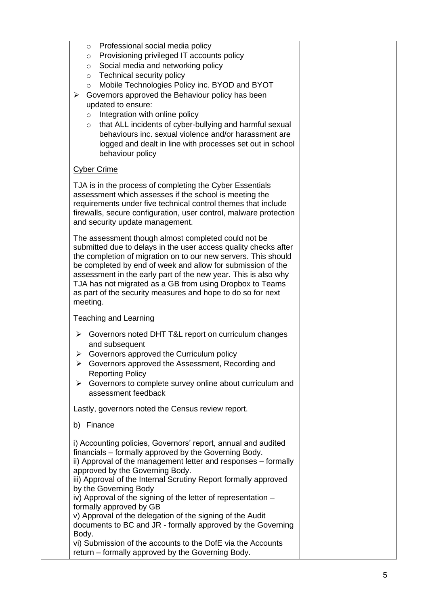| Professional social media policy<br>$\circ$<br>Provisioning privileged IT accounts policy<br>$\circ$<br>Social media and networking policy<br>$\circ$<br>Technical security policy<br>$\circ$<br>Mobile Technologies Policy inc. BYOD and BYOT<br>$\circ$<br>Governors approved the Behaviour policy has been<br>$\blacktriangleright$<br>updated to ensure:<br>Integration with online policy<br>$\circ$<br>that ALL incidents of cyber-bullying and harmful sexual<br>$\circ$<br>behaviours inc. sexual violence and/or harassment are<br>logged and dealt in line with processes set out in school<br>behaviour policy                                                    |  |
|------------------------------------------------------------------------------------------------------------------------------------------------------------------------------------------------------------------------------------------------------------------------------------------------------------------------------------------------------------------------------------------------------------------------------------------------------------------------------------------------------------------------------------------------------------------------------------------------------------------------------------------------------------------------------|--|
| <b>Cyber Crime</b>                                                                                                                                                                                                                                                                                                                                                                                                                                                                                                                                                                                                                                                           |  |
| TJA is in the process of completing the Cyber Essentials<br>assessment which assesses if the school is meeting the<br>requirements under five technical control themes that include<br>firewalls, secure configuration, user control, malware protection<br>and security update management.                                                                                                                                                                                                                                                                                                                                                                                  |  |
| The assessment though almost completed could not be<br>submitted due to delays in the user access quality checks after<br>the completion of migration on to our new servers. This should<br>be completed by end of week and allow for submission of the<br>assessment in the early part of the new year. This is also why<br>TJA has not migrated as a GB from using Dropbox to Teams<br>as part of the security measures and hope to do so for next<br>meeting.                                                                                                                                                                                                             |  |
| <b>Teaching and Learning</b>                                                                                                                                                                                                                                                                                                                                                                                                                                                                                                                                                                                                                                                 |  |
| Governors noted DHT T&L report on curriculum changes<br>➤<br>and subsequent<br>Governors approved the Curriculum policy<br>➤<br>Governors approved the Assessment, Recording and<br>➤<br><b>Reporting Policy</b><br>Governors to complete survey online about curriculum and<br>➤<br>assessment feedback                                                                                                                                                                                                                                                                                                                                                                     |  |
| Lastly, governors noted the Census review report.                                                                                                                                                                                                                                                                                                                                                                                                                                                                                                                                                                                                                            |  |
| b) Finance                                                                                                                                                                                                                                                                                                                                                                                                                                                                                                                                                                                                                                                                   |  |
| i) Accounting policies, Governors' report, annual and audited<br>financials – formally approved by the Governing Body.<br>ii) Approval of the management letter and responses - formally<br>approved by the Governing Body.<br>iii) Approval of the Internal Scrutiny Report formally approved<br>by the Governing Body<br>iv) Approval of the signing of the letter of representation -<br>formally approved by GB<br>v) Approval of the delegation of the signing of the Audit<br>documents to BC and JR - formally approved by the Governing<br>Body.<br>vi) Submission of the accounts to the DofE via the Accounts<br>return – formally approved by the Governing Body. |  |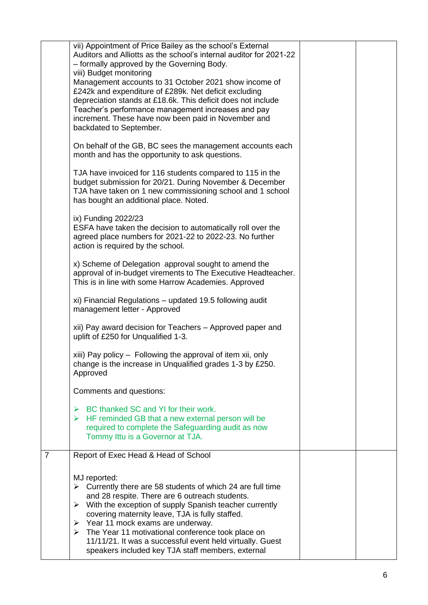|                | MJ reported:<br>$\triangleright$ Currently there are 58 students of which 24 are full time<br>and 28 respite. There are 6 outreach students.<br>With the exception of supply Spanish teacher currently<br>➤<br>covering maternity leave, TJA is fully staffed.<br>$\triangleright$ Year 11 mock exams are underway.<br>$\triangleright$ The Year 11 motivational conference took place on<br>11/11/21. It was a successful event held virtually. Guest<br>speakers included key TJA staff members, external |  |
|----------------|-------------------------------------------------------------------------------------------------------------------------------------------------------------------------------------------------------------------------------------------------------------------------------------------------------------------------------------------------------------------------------------------------------------------------------------------------------------------------------------------------------------|--|
| $\overline{7}$ | Report of Exec Head & Head of School                                                                                                                                                                                                                                                                                                                                                                                                                                                                        |  |
|                | BC thanked SC and YI for their work.<br>➤<br>$\triangleright$ HF reminded GB that a new external person will be<br>required to complete the Safeguarding audit as now<br>Tommy Ittu is a Governor at TJA.                                                                                                                                                                                                                                                                                                   |  |
|                | Comments and questions:                                                                                                                                                                                                                                                                                                                                                                                                                                                                                     |  |
|                | xiii) Pay policy - Following the approval of item xii, only<br>change is the increase in Unqualified grades 1-3 by £250.<br>Approved                                                                                                                                                                                                                                                                                                                                                                        |  |
|                | xii) Pay award decision for Teachers - Approved paper and<br>uplift of £250 for Unqualified 1-3.                                                                                                                                                                                                                                                                                                                                                                                                            |  |
|                | xi) Financial Regulations - updated 19.5 following audit<br>management letter - Approved                                                                                                                                                                                                                                                                                                                                                                                                                    |  |
|                | x) Scheme of Delegation approval sought to amend the<br>approval of in-budget virements to The Executive Headteacher.<br>This is in line with some Harrow Academies. Approved                                                                                                                                                                                                                                                                                                                               |  |
|                | ix) Funding 2022/23<br>ESFA have taken the decision to automatically roll over the<br>agreed place numbers for 2021-22 to 2022-23. No further<br>action is required by the school.                                                                                                                                                                                                                                                                                                                          |  |
|                | TJA have invoiced for 116 students compared to 115 in the<br>budget submission for 20/21. During November & December<br>TJA have taken on 1 new commissioning school and 1 school<br>has bought an additional place. Noted.                                                                                                                                                                                                                                                                                 |  |
|                | On behalf of the GB, BC sees the management accounts each<br>month and has the opportunity to ask questions.                                                                                                                                                                                                                                                                                                                                                                                                |  |
|                | - formally approved by the Governing Body.<br>viii) Budget monitoring<br>Management accounts to 31 October 2021 show income of<br>£242k and expenditure of £289k. Net deficit excluding<br>depreciation stands at £18.6k. This deficit does not include<br>Teacher's performance management increases and pay<br>increment. These have now been paid in November and<br>backdated to September.                                                                                                             |  |
|                | vii) Appointment of Price Bailey as the school's External<br>Auditors and Alliotts as the school's internal auditor for 2021-22                                                                                                                                                                                                                                                                                                                                                                             |  |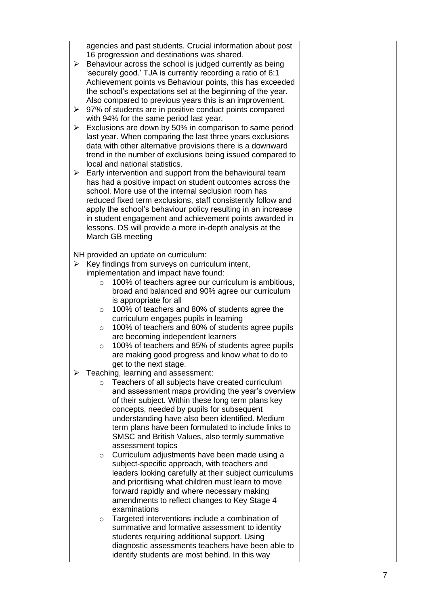| agencies and past students. Crucial information about post<br>16 progression and destinations was shared.<br>Behaviour across the school is judged currently as being<br>➤<br>'securely good.' TJA is currently recording a ratio of 6:1<br>Achievement points vs Behaviour points, this has exceeded<br>the school's expectations set at the beginning of the year.<br>Also compared to previous years this is an improvement.<br>> 97% of students are in positive conduct points compared<br>with 94% for the same period last year.<br>Exclusions are down by 50% in comparison to same period<br>➤<br>last year. When comparing the last three years exclusions<br>data with other alternative provisions there is a downward<br>trend in the number of exclusions being issued compared to<br>local and national statistics.<br>Early intervention and support from the behavioural team<br>➤ |  |
|-----------------------------------------------------------------------------------------------------------------------------------------------------------------------------------------------------------------------------------------------------------------------------------------------------------------------------------------------------------------------------------------------------------------------------------------------------------------------------------------------------------------------------------------------------------------------------------------------------------------------------------------------------------------------------------------------------------------------------------------------------------------------------------------------------------------------------------------------------------------------------------------------------|--|
| has had a positive impact on student outcomes across the<br>school. More use of the internal seclusion room has<br>reduced fixed term exclusions, staff consistently follow and<br>apply the school's behaviour policy resulting in an increase<br>in student engagement and achievement points awarded in<br>lessons. DS will provide a more in-depth analysis at the<br>March GB meeting                                                                                                                                                                                                                                                                                                                                                                                                                                                                                                          |  |
| NH provided an update on curriculum:                                                                                                                                                                                                                                                                                                                                                                                                                                                                                                                                                                                                                                                                                                                                                                                                                                                                |  |
| Key findings from surveys on curriculum intent,<br>➤                                                                                                                                                                                                                                                                                                                                                                                                                                                                                                                                                                                                                                                                                                                                                                                                                                                |  |
| implementation and impact have found:                                                                                                                                                                                                                                                                                                                                                                                                                                                                                                                                                                                                                                                                                                                                                                                                                                                               |  |
| 100% of teachers agree our curriculum is ambitious,<br>$\circ$                                                                                                                                                                                                                                                                                                                                                                                                                                                                                                                                                                                                                                                                                                                                                                                                                                      |  |
| broad and balanced and 90% agree our curriculum                                                                                                                                                                                                                                                                                                                                                                                                                                                                                                                                                                                                                                                                                                                                                                                                                                                     |  |
| is appropriate for all                                                                                                                                                                                                                                                                                                                                                                                                                                                                                                                                                                                                                                                                                                                                                                                                                                                                              |  |
| 100% of teachers and 80% of students agree the<br>$\circ$                                                                                                                                                                                                                                                                                                                                                                                                                                                                                                                                                                                                                                                                                                                                                                                                                                           |  |
| curriculum engages pupils in learning                                                                                                                                                                                                                                                                                                                                                                                                                                                                                                                                                                                                                                                                                                                                                                                                                                                               |  |
| 100% of teachers and 80% of students agree pupils<br>$\circ$                                                                                                                                                                                                                                                                                                                                                                                                                                                                                                                                                                                                                                                                                                                                                                                                                                        |  |
| are becoming independent learners                                                                                                                                                                                                                                                                                                                                                                                                                                                                                                                                                                                                                                                                                                                                                                                                                                                                   |  |
| 100% of teachers and 85% of students agree pupils<br>$\circ$                                                                                                                                                                                                                                                                                                                                                                                                                                                                                                                                                                                                                                                                                                                                                                                                                                        |  |
| are making good progress and know what to do to                                                                                                                                                                                                                                                                                                                                                                                                                                                                                                                                                                                                                                                                                                                                                                                                                                                     |  |
| get to the next stage.                                                                                                                                                                                                                                                                                                                                                                                                                                                                                                                                                                                                                                                                                                                                                                                                                                                                              |  |
| Teaching, learning and assessment:<br>➤                                                                                                                                                                                                                                                                                                                                                                                                                                                                                                                                                                                                                                                                                                                                                                                                                                                             |  |
| Teachers of all subjects have created curriculum<br>$\circ$                                                                                                                                                                                                                                                                                                                                                                                                                                                                                                                                                                                                                                                                                                                                                                                                                                         |  |
| and assessment maps providing the year's overview                                                                                                                                                                                                                                                                                                                                                                                                                                                                                                                                                                                                                                                                                                                                                                                                                                                   |  |
| of their subject. Within these long term plans key                                                                                                                                                                                                                                                                                                                                                                                                                                                                                                                                                                                                                                                                                                                                                                                                                                                  |  |
| concepts, needed by pupils for subsequent<br>understanding have also been identified. Medium                                                                                                                                                                                                                                                                                                                                                                                                                                                                                                                                                                                                                                                                                                                                                                                                        |  |
| term plans have been formulated to include links to                                                                                                                                                                                                                                                                                                                                                                                                                                                                                                                                                                                                                                                                                                                                                                                                                                                 |  |
| SMSC and British Values, also termly summative                                                                                                                                                                                                                                                                                                                                                                                                                                                                                                                                                                                                                                                                                                                                                                                                                                                      |  |
| assessment topics                                                                                                                                                                                                                                                                                                                                                                                                                                                                                                                                                                                                                                                                                                                                                                                                                                                                                   |  |
| Curriculum adjustments have been made using a<br>$\circ$                                                                                                                                                                                                                                                                                                                                                                                                                                                                                                                                                                                                                                                                                                                                                                                                                                            |  |
| subject-specific approach, with teachers and                                                                                                                                                                                                                                                                                                                                                                                                                                                                                                                                                                                                                                                                                                                                                                                                                                                        |  |
| leaders looking carefully at their subject curriculums                                                                                                                                                                                                                                                                                                                                                                                                                                                                                                                                                                                                                                                                                                                                                                                                                                              |  |
| and prioritising what children must learn to move                                                                                                                                                                                                                                                                                                                                                                                                                                                                                                                                                                                                                                                                                                                                                                                                                                                   |  |
| forward rapidly and where necessary making                                                                                                                                                                                                                                                                                                                                                                                                                                                                                                                                                                                                                                                                                                                                                                                                                                                          |  |
| amendments to reflect changes to Key Stage 4                                                                                                                                                                                                                                                                                                                                                                                                                                                                                                                                                                                                                                                                                                                                                                                                                                                        |  |
| examinations                                                                                                                                                                                                                                                                                                                                                                                                                                                                                                                                                                                                                                                                                                                                                                                                                                                                                        |  |
| Targeted interventions include a combination of<br>$\circ$                                                                                                                                                                                                                                                                                                                                                                                                                                                                                                                                                                                                                                                                                                                                                                                                                                          |  |
| summative and formative assessment to identity<br>students requiring additional support. Using                                                                                                                                                                                                                                                                                                                                                                                                                                                                                                                                                                                                                                                                                                                                                                                                      |  |
| diagnostic assessments teachers have been able to                                                                                                                                                                                                                                                                                                                                                                                                                                                                                                                                                                                                                                                                                                                                                                                                                                                   |  |
| identify students are most behind. In this way                                                                                                                                                                                                                                                                                                                                                                                                                                                                                                                                                                                                                                                                                                                                                                                                                                                      |  |
|                                                                                                                                                                                                                                                                                                                                                                                                                                                                                                                                                                                                                                                                                                                                                                                                                                                                                                     |  |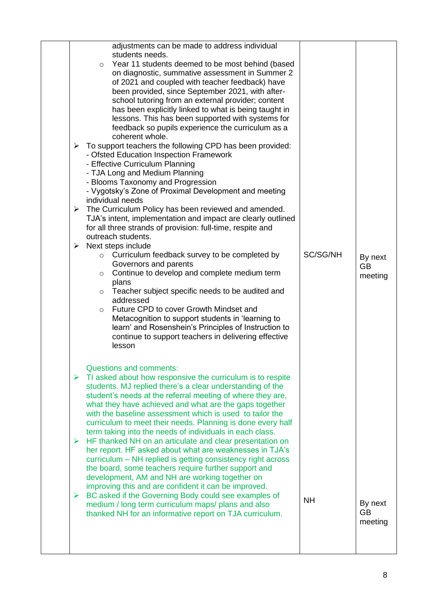| $\blacktriangleright$      | adjustments can be made to address individual<br>students needs.<br>Year 11 students deemed to be most behind (based<br>$\circ$<br>on diagnostic, summative assessment in Summer 2<br>of 2021 and coupled with teacher feedback) have<br>been provided, since September 2021, with after-<br>school tutoring from an external provider; content<br>has been explicitly linked to what is being taught in<br>lessons. This has been supported with systems for<br>feedback so pupils experience the curriculum as a<br>coherent whole.<br>To support teachers the following CPD has been provided:<br>- Ofsted Education Inspection Framework<br>- Effective Curriculum Planning<br>- TJA Long and Medium Planning<br>- Blooms Taxonomy and Progression<br>- Vygotsky's Zone of Proximal Development and meeting<br>individual needs<br>$\triangleright$ The Curriculum Policy has been reviewed and amended.<br>TJA's intent, implementation and impact are clearly outlined<br>for all three strands of provision: full-time, respite and<br>outreach students.<br>$\triangleright$ Next steps include<br>Curriculum feedback survey to be completed by<br>$\circ$<br>Governors and parents<br>Continue to develop and complete medium term<br>$\circ$<br>plans<br>$\circ$ Teacher subject specific needs to be audited and<br>addressed<br>Future CPD to cover Growth Mindset and<br>$\circ$<br>Metacognition to support students in 'learning to<br>learn' and Rosenshein's Principles of Instruction to<br>continue to support teachers in delivering effective<br>lesson | SC/SG/NH  | By next<br><b>GB</b><br>meeting |
|----------------------------|-------------------------------------------------------------------------------------------------------------------------------------------------------------------------------------------------------------------------------------------------------------------------------------------------------------------------------------------------------------------------------------------------------------------------------------------------------------------------------------------------------------------------------------------------------------------------------------------------------------------------------------------------------------------------------------------------------------------------------------------------------------------------------------------------------------------------------------------------------------------------------------------------------------------------------------------------------------------------------------------------------------------------------------------------------------------------------------------------------------------------------------------------------------------------------------------------------------------------------------------------------------------------------------------------------------------------------------------------------------------------------------------------------------------------------------------------------------------------------------------------------------------------------------------------------------------------------|-----------|---------------------------------|
| $\blacktriangleright$<br>➤ | <b>Questions and comments:</b><br>$\triangleright$ TI asked about how responsive the curriculum is to respite<br>students. MJ replied there's a clear understanding of the<br>student's needs at the referral meeting of where they are,<br>what they have achieved and what are the gaps together<br>with the baseline assessment which is used to tailor the<br>curriculum to meet their needs. Planning is done every half<br>term taking into the needs of individuals in each class.<br>HF thanked NH on an articulate and clear presentation on<br>her report. HF asked about what are weaknesses in TJA's<br>curriculum - NH replied is getting consistency right across<br>the board, some teachers require further support and<br>development, AM and NH are working together on<br>improving this and are confident it can be improved.<br>BC asked if the Governing Body could see examples of<br>medium / long term curriculum maps/ plans and also<br>thanked NH for an informative report on TJA curriculum.                                                                                                                                                                                                                                                                                                                                                                                                                                                                                                                                                    | <b>NH</b> | By next<br><b>GB</b><br>meeting |